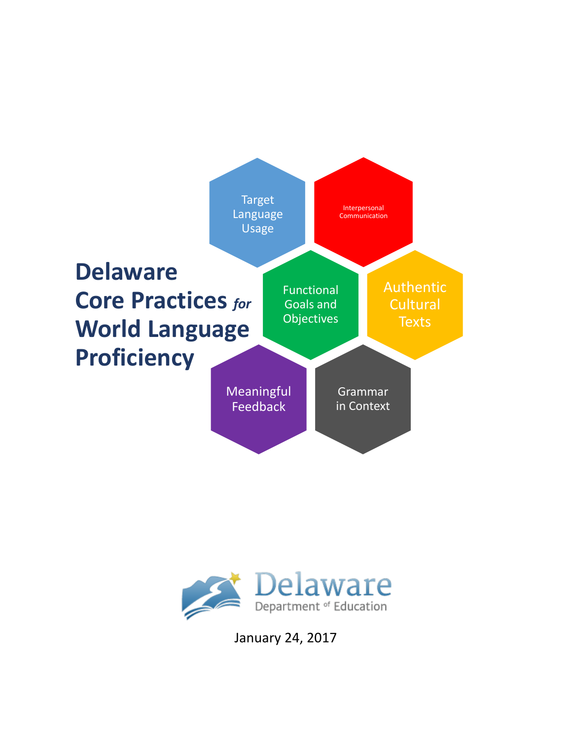



January 24, 2017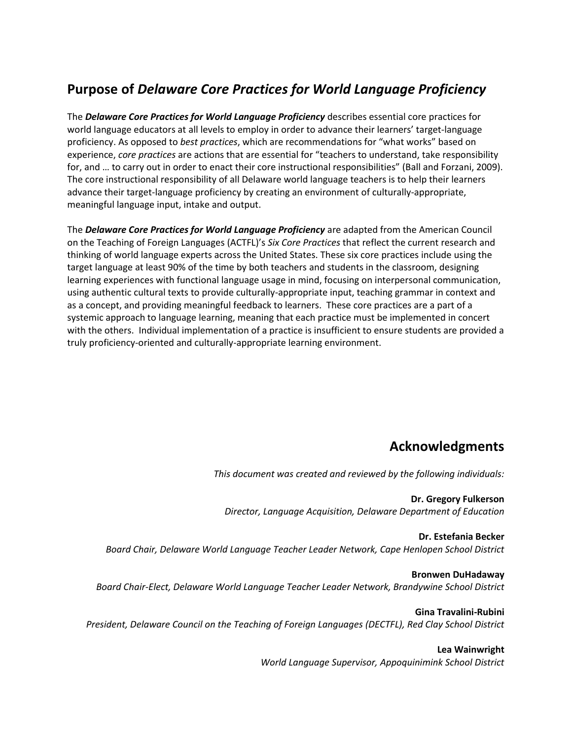#### **Purpose of** *Delaware Core Practices for World Language Proficiency*

The *Delaware Core Practices for World Language Proficiency* describes essential core practices for world language educators at all levels to employ in order to advance their learners' target-language proficiency. As opposed to *best practices*, which are recommendations for "what works" based on experience, *core practices* are actions that are essential for "teachers to understand, take responsibility for, and … to carry out in order to enact their core instructional responsibilities" (Ball and Forzani, 2009). The core instructional responsibility of all Delaware world language teachers is to help their learners advance their target-language proficiency by creating an environment of culturally-appropriate, meaningful language input, intake and output.

The *Delaware Core Practices for World Language Proficiency* are adapted from the American Council on the Teaching of Foreign Languages (ACTFL)'s *Six Core Practices* that reflect the current research and thinking of world language experts across the United States. These six core practices include using the target language at least 90% of the time by both teachers and students in the classroom, designing learning experiences with functional language usage in mind, focusing on interpersonal communication, using authentic cultural texts to provide culturally-appropriate input, teaching grammar in context and as a concept, and providing meaningful feedback to learners. These core practices are a part of a systemic approach to language learning, meaning that each practice must be implemented in concert with the others. Individual implementation of a practice is insufficient to ensure students are provided a truly proficiency-oriented and culturally-appropriate learning environment.

#### **Acknowledgments**

*This document was created and reviewed by the following individuals:*

**Dr. Gregory Fulkerson** *Director, Language Acquisition, Delaware Department of Education*

**Dr. Estefania Becker** *Board Chair, Delaware World Language Teacher Leader Network, Cape Henlopen School District* 

**Bronwen DuHadaway** *Board Chair-Elect, Delaware World Language Teacher Leader Network, Brandywine School District*

**Gina Travalini-Rubini** *President, Delaware Council on the Teaching of Foreign Languages (DECTFL), Red Clay School District*

**Lea Wainwright**

*World Language Supervisor, Appoquinimink School District*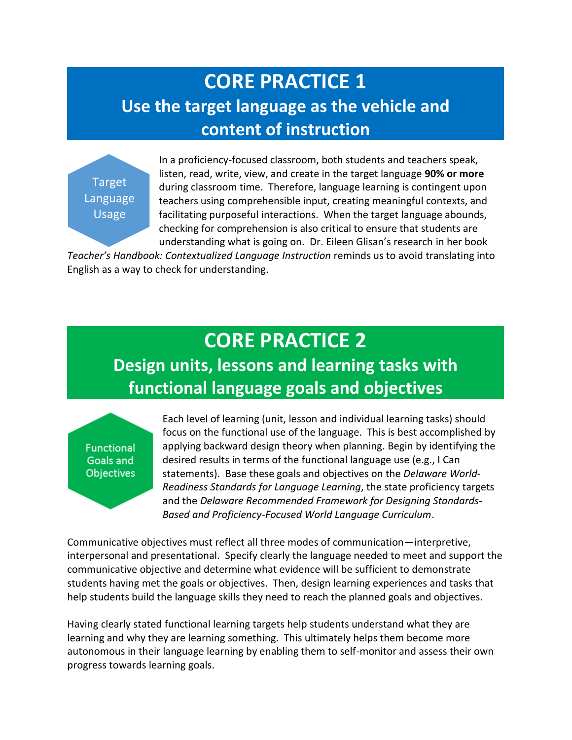## **CORE PRACTICE 1 Use the target language as the vehicle and content of instruction**

Target Language Usage

In a proficiency-focused classroom, both students and teachers speak, listen, read, write, view, and create in the target language **90% or more** during classroom time. Therefore, language learning is contingent upon teachers using comprehensible input, creating meaningful contexts, and facilitating purposeful interactions. When the target language abounds, checking for comprehension is also critical to ensure that students are understanding what is going on. Dr. Eileen Glisan's research in her book

*Teacher's Handbook: Contextualized Language Instruction* reminds us to avoid translating into English as a way to check for understanding.

# **CORE PRACTICE 2**

### **Design units, lessons and learning tasks with functional language goals and objectives**

**Functional** Goals and **Objectives** 

Each level of learning (unit, lesson and individual learning tasks) should focus on the functional use of the language. This is best accomplished by applying backward design theory when planning. Begin by identifying the desired results in terms of the functional language use (e.g., I Can statements). Base these goals and objectives on the *Delaware World-Readiness Standards for Language Learning*, the state proficiency targets and the *Delaware Recommended Framework for Designing Standards-Based and Proficiency-Focused World Language Curriculum*.

Communicative objectives must reflect all three modes of communication—interpretive, interpersonal and presentational. Specify clearly the language needed to meet and support the communicative objective and determine what evidence will be sufficient to demonstrate students having met the goals or objectives. Then, design learning experiences and tasks that help students build the language skills they need to reach the planned goals and objectives.

Having clearly stated functional learning targets help students understand what they are learning and why they are learning something. This ultimately helps them become more autonomous in their language learning by enabling them to self-monitor and assess their own progress towards learning goals.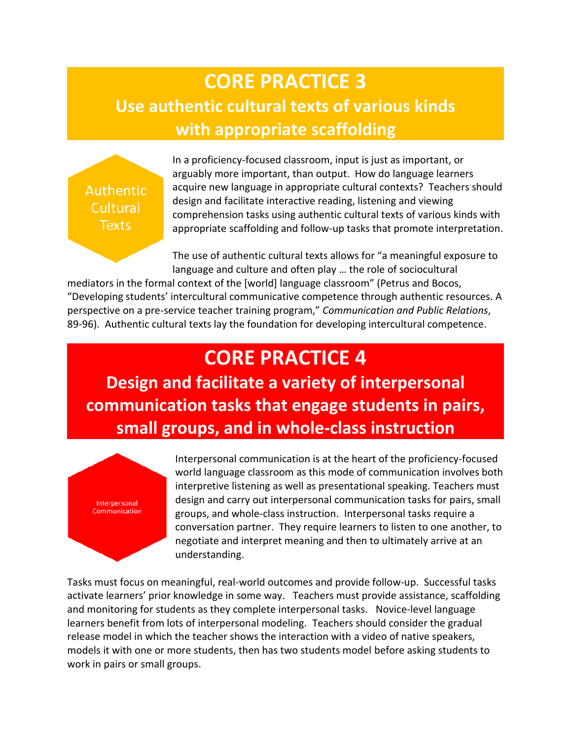## **CORE PRACTICE 3 Use authentic cultural texts of various kinds with appropriate scaffolding**

**Authentic** Cultural **Texts** 

In a proficiency-focused classroom, input is just as important, or arguably more important, than output. How do language learners acquire new language in appropriate cultural contexts? Teachers should design and facilitate interactive reading, listening and viewing comprehension tasks using authentic cultural texts of various kinds with appropriate scaffolding and follow-up tasks that promote interpretation.

The use of authentic cultural texts allows for "a meaningful exposure to language and culture and often play … the role of sociocultural

mediators in the formal context of the [world] language classroom" (Petrus and Bocos, "Developing students' intercultural communicative competence through authentic resources. A perspective on a pre-service teacher training program," *Communication and Public Relations*, 89-96). Authentic cultural texts lay the foundation for developing intercultural competence.

#### **CORE PRACTICE 4**

**Design and facilitate a variety of interpersonal communication tasks that engage students in pairs, small groups, and in whole-class instruction**



Interpersonal communication is at the heart of the proficiency-focused world language classroom as this mode of communication involves both interpretive listening as well as presentational speaking. Teachers must design and carry out interpersonal communication tasks for pairs, small groups, and whole-class instruction. Interpersonal tasks require a conversation partner. They require learners to listen to one another, to negotiate and interpret meaning and then to ultimately arrive at an understanding.

Tasks must focus on meaningful, real-world outcomes and provide follow-up. Successful tasks activate learners' prior knowledge in some way. Teachers must provide assistance, scaffolding and monitoring for students as they complete interpersonal tasks. Novice-level language learners benefit from lots of interpersonal modeling. Teachers should consider the gradual release model in which the teacher shows the interaction with a video of native speakers, models it with one or more students, then has two students model before asking students to work in pairs or small groups.